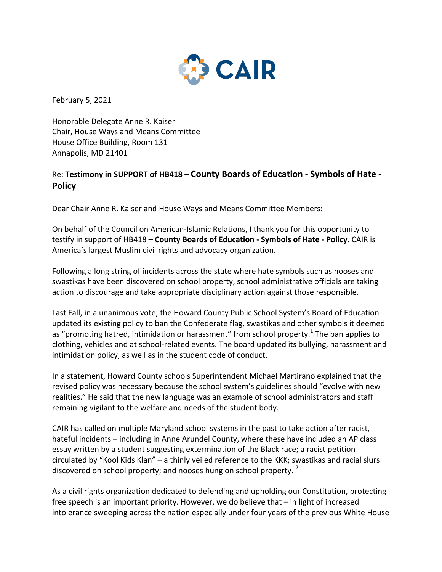

February 5, 2021

Honorable Delegate Anne R. Kaiser Chair, House Ways and Means Committee House Office Building, Room 131 Annapolis, MD 21401

## Re: Testimony in SUPPORT of HB418 - County Boards of Education - Symbols of Hate -**Policy**

Dear Chair Anne R. Kaiser and House Ways and Means Committee Members:

On behalf of the Council on American-Islamic Relations, I thank you for this opportunity to testify in support of HB418 – **County Boards of Education - Symbols of Hate - Policy**. CAIR is America's largest Muslim civil rights and advocacy organization.

Following a long string of incidents across the state where hate symbols such as nooses and swastikas have been discovered on school property, school administrative officials are taking action to discourage and take appropriate disciplinary action against those responsible.

Last Fall, in a unanimous vote, the Howard County Public School System's Board of Education updated its existing policy to ban the Confederate flag, swastikas and other symbols it deemed as "promoting hatred, intimidation or harassment" from school property.<sup>1</sup> The ban applies to clothing, vehicles and at school-related events. The board updated its bullying, harassment and intimidation policy, as well as in the student code of conduct.

In a statement, Howard County schools Superintendent Michael Martirano explained that the revised policy was necessary because the school system's guidelines should "evolve with new realities." He said that the new language was an example of school administrators and staff remaining vigilant to the welfare and needs of the student body.

CAIR has called on multiple Maryland school systems in the past to take action after racist, hateful incidents – including in Anne Arundel County, where these have included an AP class essay written by a student suggesting extermination of the Black race; a racist petition circulated by "Kool Kids Klan" – a thinly veiled reference to the KKK; swastikas and racial slurs discovered on school property; and nooses hung on school property. <sup>2</sup>

As a civil rights organization dedicated to defending and upholding our Constitution, protecting free speech is an important priority. However, we do believe that  $-$  in light of increased intolerance sweeping across the nation especially under four years of the previous White House